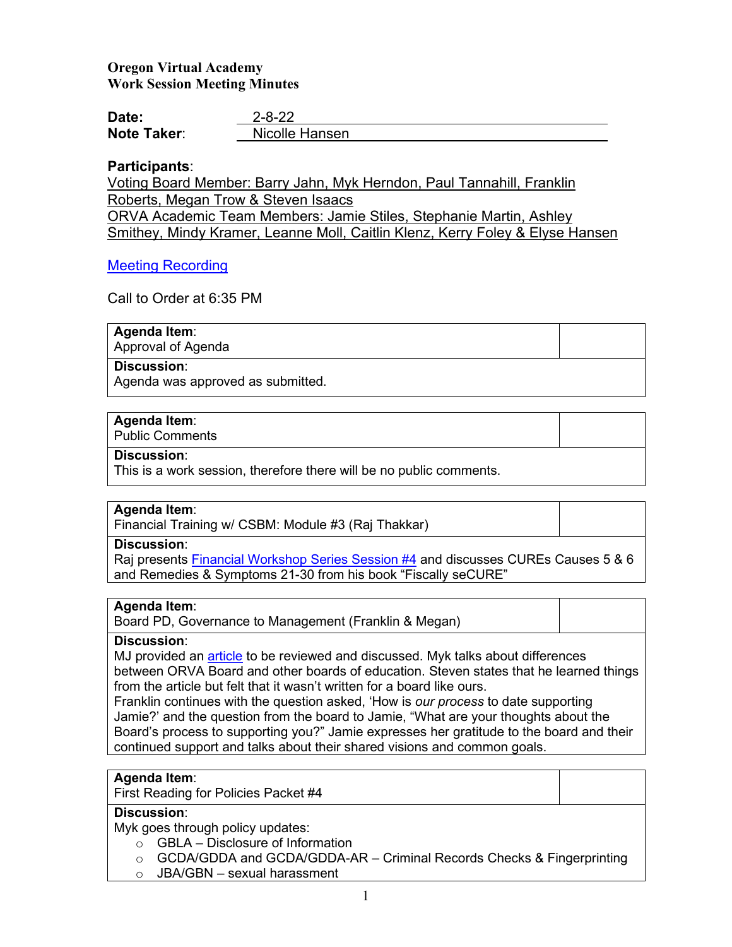# **Oregon Virtual Academy Work Session Meeting Minutes**

| Date:       | $2 - 8 - 22$   |
|-------------|----------------|
| Note Taker: | Nicolle Hansen |

# **Participants**:

Voting Board Member: Barry Jahn, Myk Herndon, Paul Tannahill, Franklin Roberts, Megan Trow & Steven Isaacs ORVA Academic Team Members: Jamie Stiles, Stephanie Martin, Ashley Smithey, Mindy Kramer, Leanne Moll, Caitlin Klenz, Kerry Foley & Elyse Hansen

# [Meeting Recording](https://us02web.zoom.us/rec/play/87pu2YxZtnq48EUyCs1Qzx8s-wQ2g4yxmz_83bfgkek9RhgFga9YuGhS9p_RTr10WZZoU7iA9_Dk-81r.JOe0eG3v8bzy9GQP)

Call to Order at 6:35 PM

# **Agenda Item**:

Approval of Agenda

## **Discussion**:

Agenda was approved as submitted.

# **Agenda Item**:

Public Comments

## **Discussion**:

This is a work session, therefore there will be no public comments.

# **Agenda Item**:

Financial Training w/ CSBM: Module #3 (Raj Thakkar)

## **Discussion**:

Raj presents [Financial Workshop Series Session #4](https://k12inc-my.sharepoint.com/:b:/r/personal/nhansen_oregonva_org/Documents/The%20Board/Secretary%20to%20The%20Board/21-22%20Board%20Packets/February%202022/Work%20Session%202.8.22/ORVA%20Session%20%234%20Presentation%2002-08-22.pdf?csf=1&web=1&e=LWn2g3) and discusses CUREs Causes 5 & 6 and Remedies & Symptoms 21-30 from his book "Fiscally seCURE"

# **Agenda Item**:

Board PD, Governance to Management (Franklin & Megan)

# **Discussion**:

MJ provided an [article](https://www.aasa.org/SchoolAdministratorArticle.aspx?id=14494) to be reviewed and discussed. Myk talks about differences between ORVA Board and other boards of education. Steven states that he learned things from the article but felt that it wasn't written for a board like ours.

Franklin continues with the question asked, 'How is *our process* to date supporting Jamie?' and the question from the board to Jamie, "What are your thoughts about the Board's process to supporting you?" Jamie expresses her gratitude to the board and their continued support and talks about their shared visions and common goals.

# **Agenda Item**:

First Reading for Policies Packet #4

# **Discussion**:

Myk goes through policy updates:

- $\circ$  GBLA Disclosure of Information
- $\circ$  GCDA/GDDA and GCDA/GDDA-AR Criminal Records Checks & Fingerprinting
- o JBA/GBN sexual harassment